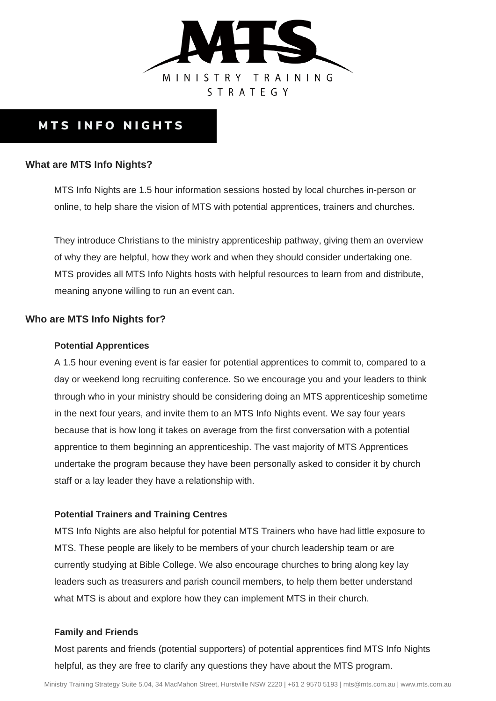

# **MTS INFO NIGHTS**

### **What are MTS Info Nights?**

MTS Info Nights are 1.5 hour information sessions hosted by local churches in-person or online, to help share the vision of MTS with potential apprentices, trainers and churches.

They introduce Christians to the ministry apprenticeship pathway, giving them an overview of why they are helpful, how they work and when they should consider undertaking one. MTS provides all MTS Info Nights hosts with helpful resources to learn from and distribute, meaning anyone willing to run an event can.

### **Who are MTS Info Nights for?**

#### **Potential Apprentices**

A 1.5 hour evening event is far easier for potential apprentices to commit to, compared to a day or weekend long recruiting conference. So we encourage you and your leaders to think through who in your ministry should be considering doing an MTS apprenticeship sometime in the next four years, and invite them to an MTS Info Nights event. We say four years because that is how long it takes on average from the first conversation with a potential apprentice to them beginning an apprenticeship. The vast majority of MTS Apprentices undertake the program because they have been personally asked to consider it by church staff or a lay leader they have a relationship with.

### **Potential Trainers and Training Centres**

MTS Info Nights are also helpful for potential MTS Trainers who have had little exposure to MTS. These people are likely to be members of your church leadership team or are currently studying at Bible College. We also encourage churches to bring along key lay leaders such as treasurers and parish council members, to help them better understand what MTS is about and explore how they can implement MTS in their church.

### **Family and Friends**

Most parents and friends (potential supporters) of potential apprentices find MTS Info Nights helpful, as they are free to clarify any questions they have about the MTS program.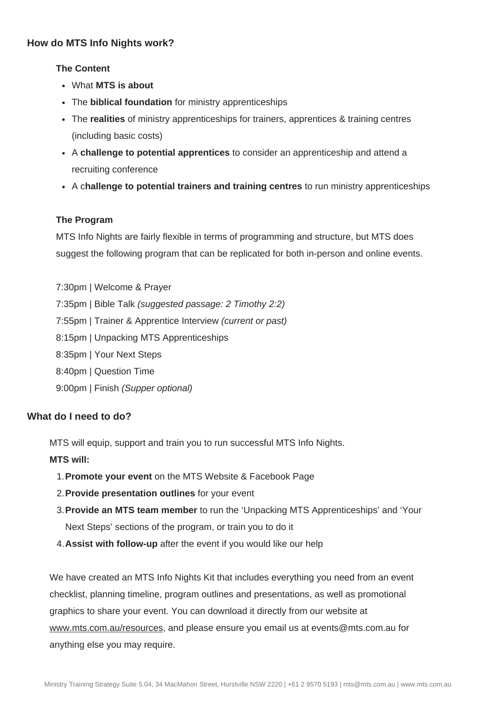# **How do MTS Info Nights work?**

# **The Content**

- What **MTS is about**
- The **biblical foundation** for ministry apprenticeships
- The **realities** of ministry apprenticeships for trainers, apprentices & training centres (including basic costs)
- A **challenge to potential apprentices** to consider an apprenticeship and attend a recruiting conference
- A c**hallenge to potential trainers and training centres** to run ministry apprenticeships

# **The Program**

MTS Info Nights are fairly flexible in terms of programming and structure, but MTS does suggest the following program that can be replicated for both in-person and online events.

7:30pm | Welcome & Prayer 7:35pm | Bible Talk *(suggested passage: 2 Timothy 2:2)* 7:55pm | Trainer & Apprentice Interview *(current or past)* 8:15pm | Unpacking MTS Apprenticeships 8:35pm | Your Next Steps 8:40pm | Question Time 9:00pm | Finish *(Supper optional)*

# **What do I need to do?**

MTS will equip, support and train you to run successful MTS Info Nights.

# **MTS will:**

- **Promote your event** on the MTS Website & Facebook Page 1.
- **Provide presentation outlines** for your event 2.
- **Provide an MTS team member** to run the 'Unpacking MTS Apprenticeships' and 'Your 3. Next Steps' sections of the program, or train you to do it
- **Assist with follow-up** after the event if you would like our help 4.

We have created an MTS Info Nights Kit that includes everything you need from an event checklist, planning timeline, program outlines and presentations, as well as promotional graphics to share your event. You can download it directly from our website at www.mts.com.au/resources, and please ensure you email us at events@mts.com.au for anything else you may require.